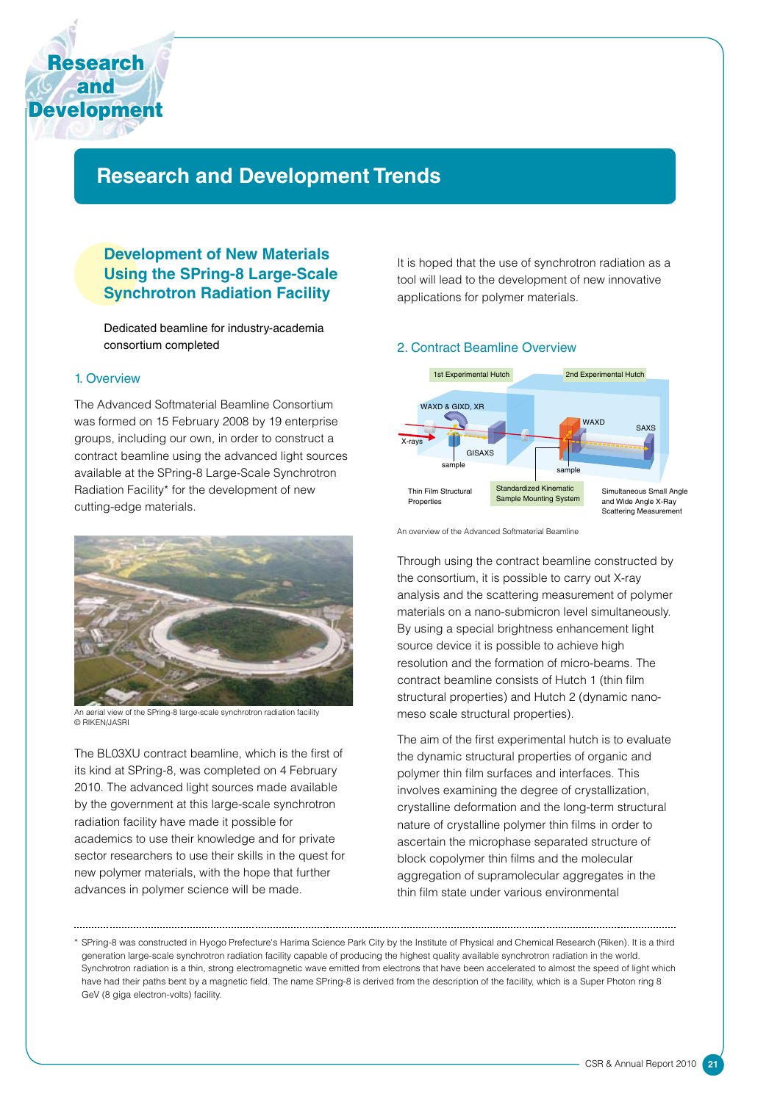

# **Research and Development Trends**

# **Development of New Materials Using the SPring-8 Large-Scale Synchrotron Radiation Facility**

Dedicated beamline for industry-academia consortium completed

#### 1. Overview

The Advanced Softmaterial Beamline Consortium was formed on 15 February 2008 by 19 enterprise groups, including our own, in order to construct a contract beamline using the advanced light sources available at the SPring-8 Large-Scale Synchrotron Radiation Facility\* for the development of new cutting-edge materials.



An aerial view of the SPring-8 large-scale synchrotron radiation facility © RIKEN/JASRI

The BL03XU contract beamline, which is the first of its kind at SPring-8, was completed on 4 February 2010. The advanced light sources made available by the government at this large-scale synchrotron radiation facility have made it possible for academics to use their knowledge and for private sector researchers to use their skills in the quest for new polymer materials, with the hope that further advances in polymer science will be made.

It is hoped that the use of synchrotron radiation as a tool will lead to the development of new innovative applications for polymer materials.

#### 2. Contract Beamline Overview



An overview of the Advanced Softmaterial Beamline

Through using the contract beamline constructed by the consortium, it is possible to carry out X-ray analysis and the scattering measurement of polymer materials on a nano-submicron level simultaneously. By using a special brightness enhancement light source device it is possible to achieve high resolution and the formation of micro-beams. The contract beamline consists of Hutch 1 (thin film structural properties) and Hutch 2 (dynamic nanomeso scale structural properties).

The aim of the first experimental hutch is to evaluate the dynamic structural properties of organic and polymer thin film surfaces and interfaces. This involves examining the degree of crystallization, crystalline deformation and the long-term structural nature of crystalline polymer thin films in order to ascertain the microphase separated structure of block copolymer thin films and the molecular aggregation of supramolecular aggregates in the thin film state under various environmental

<sup>\*</sup> SPring-8 was constructed in Hyogo Prefecture's Harima Science Park City by the Institute of Physical and Chemical Research (Riken). It is a third generation large-scale synchrotron radiation facility capable of producing the highest quality available synchrotron radiation in the world. Synchrotron radiation is a thin, strong electromagnetic wave emitted from electrons that have been accelerated to almost the speed of light which have had their paths bent by a magnetic field. The name SPring-8 is derived from the description of the facility, which is a Super Photon ring 8 GeV (8 giga electron-volts) facility.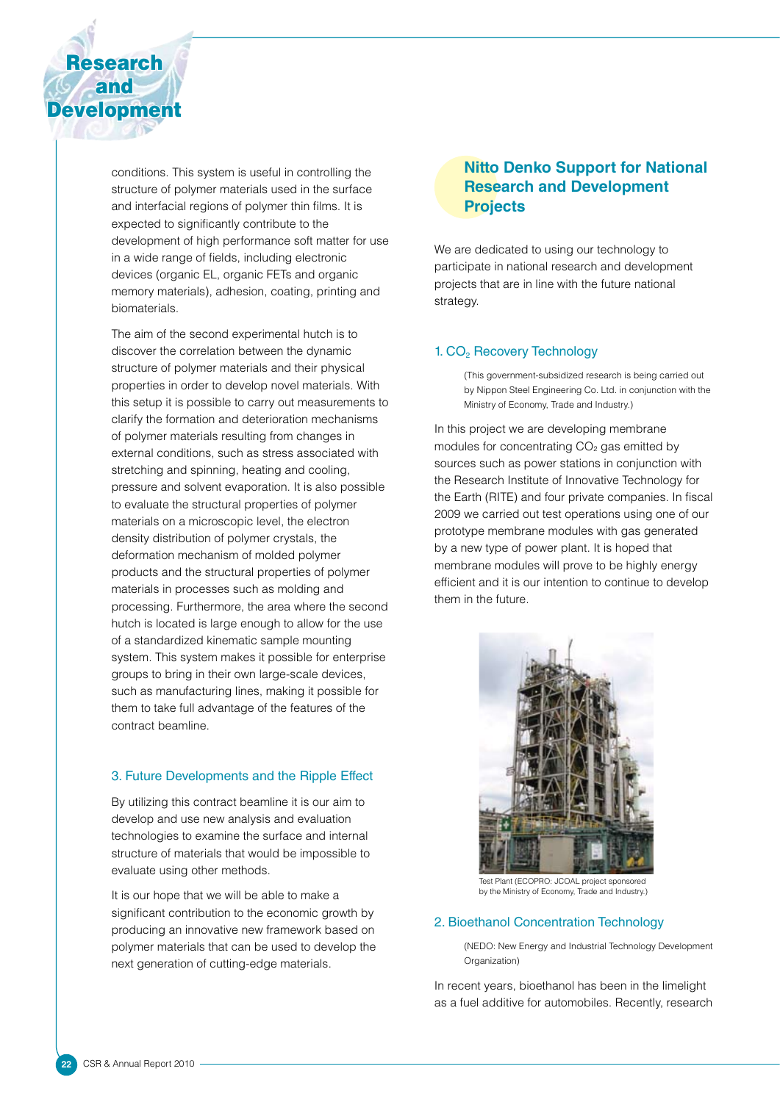

conditions. This system is useful in controlling the structure of polymer materials used in the surface and interfacial regions of polymer thin films. It is expected to significantly contribute to the development of high performance soft matter for use in a wide range of fields, including electronic devices (organic EL, organic FETs and organic memory materials), adhesion, coating, printing and biomaterials.

The aim of the second experimental hutch is to discover the correlation between the dynamic structure of polymer materials and their physical properties in order to develop novel materials. With this setup it is possible to carry out measurements to clarify the formation and deterioration mechanisms of polymer materials resulting from changes in external conditions, such as stress associated with stretching and spinning, heating and cooling, pressure and solvent evaporation. It is also possible to evaluate the structural properties of polymer materials on a microscopic level, the electron density distribution of polymer crystals, the deformation mechanism of molded polymer products and the structural properties of polymer materials in processes such as molding and processing. Furthermore, the area where the second hutch is located is large enough to allow for the use of a standardized kinematic sample mounting system. This system makes it possible for enterprise groups to bring in their own large-scale devices, such as manufacturing lines, making it possible for them to take full advantage of the features of the contract beamline.

## 3. Future Developments and the Ripple Effect

By utilizing this contract beamline it is our aim to develop and use new analysis and evaluation technologies to examine the surface and internal structure of materials that would be impossible to evaluate using other methods.

It is our hope that we will be able to make a significant contribution to the economic growth by producing an innovative new framework based on polymer materials that can be used to develop the next generation of cutting-edge materials.

# **Nitto Denko Support for National Research and Development Projects**

We are dedicated to using our technology to participate in national research and development projects that are in line with the future national strategy.

## 1. CO<sub>2</sub> Recovery Technology

(This government-subsidized research is being carried out by Nippon Steel Engineering Co. Ltd. in conjunction with the Ministry of Economy, Trade and Industry.)

In this project we are developing membrane modules for concentrating  $CO<sub>2</sub>$  gas emitted by sources such as power stations in conjunction with the Research Institute of Innovative Technology for the Earth (RITE) and four private companies. In fiscal 2009 we carried out test operations using one of our prototype membrane modules with gas generated by a new type of power plant. It is hoped that membrane modules will prove to be highly energy efficient and it is our intention to continue to develop them in the future.



Test Plant (ECOPRO: JCOAL project sponsored by the Ministry of Economy, Trade and Industry.)

### 2. Bioethanol Concentration Technology

(NEDO: New Energy and Industrial Technology Development Organization)

In recent years, bioethanol has been in the limelight as a fuel additive for automobiles. Recently, research